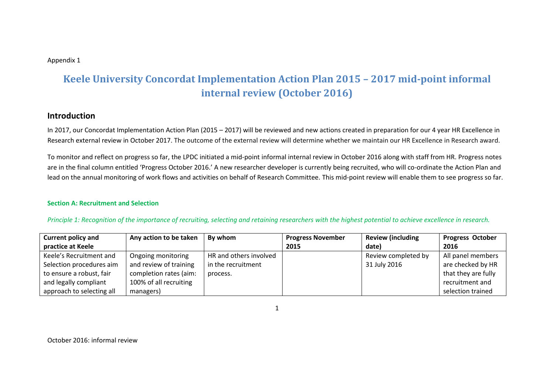#### Appendix 1

# **Keele University Concordat Implementation Action Plan 2015 – 2017 mid-point informal internal review (October 2016)**

## **Introduction**

In 2017, our Concordat Implementation Action Plan (2015 – 2017) will be reviewed and new actions created in preparation for our 4 year HR Excellence in Research external review in October 2017. The outcome of the external review will determine whether we maintain our HR Excellence in Research award.

To monitor and reflect on progress so far, the LPDC initiated a mid-point informal internal review in October 2016 along with staff from HR. Progress notes are in the final column entitled 'Progress October 2016.' A new researcher developer is currently being recruited, who will co-ordinate the Action Plan and lead on the annual monitoring of work flows and activities on behalf of Research Committee. This mid-point review will enable them to see progress so far.

#### **Section A: Recruitment and Selection**

*Principle 1: Recognition of the importance of recruiting, selecting and retaining researchers with the highest potential to achieve excellence in research.*

| <b>Current policy and</b> | Any action to be taken | By whom                | <b>Progress November</b> | <b>Review (including</b> | <b>Progress October</b> |
|---------------------------|------------------------|------------------------|--------------------------|--------------------------|-------------------------|
| practice at Keele         |                        |                        | 2015                     | date)                    | 2016                    |
| Keele's Recruitment and   | Ongoing monitoring     | HR and others involved |                          | Review completed by      | All panel members       |
| Selection procedures aim  | and review of training | in the recruitment     |                          | 31 July 2016             | are checked by HR       |
| to ensure a robust, fair  | completion rates (aim: | process.               |                          |                          | that they are fully     |
| and legally compliant     | 100% of all recruiting |                        |                          |                          | recruitment and         |
| approach to selecting all | managers)              |                        |                          |                          | selection trained       |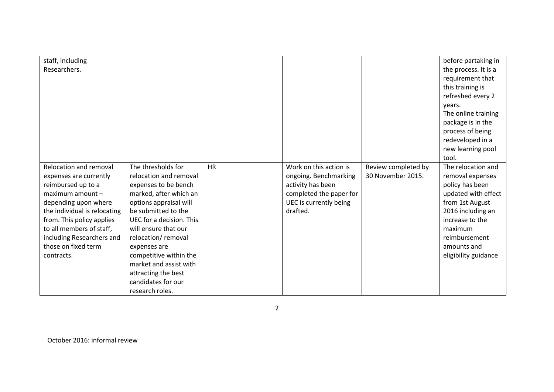| staff, including             |                          |           |                         |                     | before partaking in  |
|------------------------------|--------------------------|-----------|-------------------------|---------------------|----------------------|
| Researchers.                 |                          |           |                         |                     | the process. It is a |
|                              |                          |           |                         |                     | requirement that     |
|                              |                          |           |                         |                     | this training is     |
|                              |                          |           |                         |                     | refreshed every 2    |
|                              |                          |           |                         |                     | years.               |
|                              |                          |           |                         |                     | The online training  |
|                              |                          |           |                         |                     | package is in the    |
|                              |                          |           |                         |                     | process of being     |
|                              |                          |           |                         |                     | redeveloped in a     |
|                              |                          |           |                         |                     | new learning pool    |
|                              |                          |           |                         |                     | tool.                |
| Relocation and removal       | The thresholds for       | <b>HR</b> | Work on this action is  | Review completed by | The relocation and   |
| expenses are currently       | relocation and removal   |           | ongoing. Benchmarking   | 30 November 2015.   | removal expenses     |
| reimbursed up to a           | expenses to be bench     |           | activity has been       |                     | policy has been      |
| maximum amount -             | marked, after which an   |           | completed the paper for |                     | updated with effect  |
| depending upon where         | options appraisal will   |           | UEC is currently being  |                     | from 1st August      |
| the individual is relocating | be submitted to the      |           | drafted.                |                     | 2016 including an    |
| from. This policy applies    | UEC for a decision. This |           |                         |                     | increase to the      |
| to all members of staff,     | will ensure that our     |           |                         |                     | maximum              |
| including Researchers and    | relocation/removal       |           |                         |                     | reimbursement        |
| those on fixed term          | expenses are             |           |                         |                     | amounts and          |
| contracts.                   | competitive within the   |           |                         |                     | eligibility guidance |
|                              | market and assist with   |           |                         |                     |                      |
|                              | attracting the best      |           |                         |                     |                      |
|                              | candidates for our       |           |                         |                     |                      |
|                              | research roles.          |           |                         |                     |                      |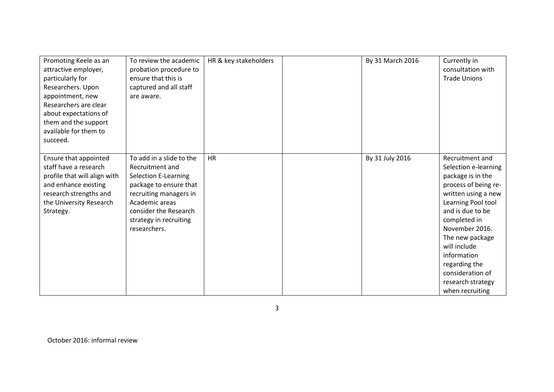| Promoting Keele as an<br>attractive employer,<br>particularly for<br>Researchers. Upon<br>appointment, new<br>Researchers are clear<br>about expectations of<br>them and the support<br>available for them to<br>succeed. | To review the academic<br>probation procedure to<br>ensure that this is<br>captured and all staff<br>are aware.                                                                                                     | HR & key stakeholders | By 31 March 2016 | Currently in<br>consultation with<br><b>Trade Unions</b>                                                                                                                                                                                                                                                               |
|---------------------------------------------------------------------------------------------------------------------------------------------------------------------------------------------------------------------------|---------------------------------------------------------------------------------------------------------------------------------------------------------------------------------------------------------------------|-----------------------|------------------|------------------------------------------------------------------------------------------------------------------------------------------------------------------------------------------------------------------------------------------------------------------------------------------------------------------------|
| Ensure that appointed<br>staff have a research<br>profile that will align with<br>and enhance existing<br>research strengths and<br>the University Research<br>Strategy.                                                  | To add in a slide to the<br>Recruitment and<br><b>Selection E-Learning</b><br>package to ensure that<br>recruiting managers in<br>Academic areas<br>consider the Research<br>strategy in recruiting<br>researchers. | <b>HR</b>             | By 31 July 2016  | Recruitment and<br>Selection e-learning<br>package is in the<br>process of being re-<br>written using a new<br>Learning Pool tool<br>and is due to be<br>completed in<br>November 2016.<br>The new package<br>will include<br>information<br>regarding the<br>consideration of<br>research strategy<br>when recruiting |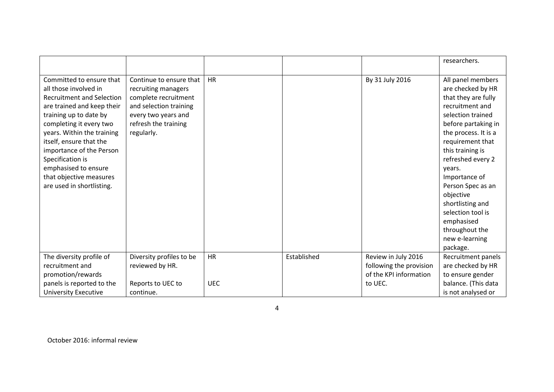|                                                                                                                                                                                                                                                                                                                                                                   |                                                                                                                                                               |            |             |                                                | researchers.                                                                                                                                                                                                                                                                                                                                                                          |
|-------------------------------------------------------------------------------------------------------------------------------------------------------------------------------------------------------------------------------------------------------------------------------------------------------------------------------------------------------------------|---------------------------------------------------------------------------------------------------------------------------------------------------------------|------------|-------------|------------------------------------------------|---------------------------------------------------------------------------------------------------------------------------------------------------------------------------------------------------------------------------------------------------------------------------------------------------------------------------------------------------------------------------------------|
| Committed to ensure that<br>all those involved in<br><b>Recruitment and Selection</b><br>are trained and keep their<br>training up to date by<br>completing it every two<br>years. Within the training<br>itself, ensure that the<br>importance of the Person<br>Specification is<br>emphasised to ensure<br>that objective measures<br>are used in shortlisting. | Continue to ensure that<br>recruiting managers<br>complete recruitment<br>and selection training<br>every two years and<br>refresh the training<br>regularly. | <b>HR</b>  |             | By 31 July 2016                                | All panel members<br>are checked by HR<br>that they are fully<br>recruitment and<br>selection trained<br>before partaking in<br>the process. It is a<br>requirement that<br>this training is<br>refreshed every 2<br>years.<br>Importance of<br>Person Spec as an<br>objective<br>shortlisting and<br>selection tool is<br>emphasised<br>throughout the<br>new e-learning<br>package. |
| The diversity profile of<br>recruitment and                                                                                                                                                                                                                                                                                                                       | Diversity profiles to be<br>reviewed by HR.                                                                                                                   | <b>HR</b>  | Established | Review in July 2016<br>following the provision | Recruitment panels<br>are checked by HR                                                                                                                                                                                                                                                                                                                                               |
| promotion/rewards                                                                                                                                                                                                                                                                                                                                                 |                                                                                                                                                               |            |             | of the KPI information                         | to ensure gender                                                                                                                                                                                                                                                                                                                                                                      |
| panels is reported to the                                                                                                                                                                                                                                                                                                                                         | Reports to UEC to                                                                                                                                             | <b>UEC</b> |             | to UEC.                                        | balance. (This data                                                                                                                                                                                                                                                                                                                                                                   |
| <b>University Executive</b>                                                                                                                                                                                                                                                                                                                                       | continue.                                                                                                                                                     |            |             |                                                | is not analysed or                                                                                                                                                                                                                                                                                                                                                                    |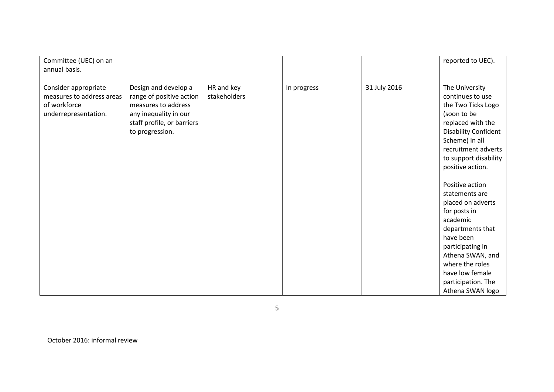| Committee (UEC) on an                                                                     |                                                                                                                                                   |                            |             |              | reported to UEC).                                                                                                                                                    |
|-------------------------------------------------------------------------------------------|---------------------------------------------------------------------------------------------------------------------------------------------------|----------------------------|-------------|--------------|----------------------------------------------------------------------------------------------------------------------------------------------------------------------|
| annual basis.                                                                             |                                                                                                                                                   |                            |             |              |                                                                                                                                                                      |
| Consider appropriate<br>measures to address areas<br>of workforce<br>underrepresentation. | Design and develop a<br>range of positive action<br>measures to address<br>any inequality in our<br>staff profile, or barriers<br>to progression. | HR and key<br>stakeholders | In progress | 31 July 2016 | The University<br>continues to use<br>the Two Ticks Logo<br>(soon to be<br>replaced with the<br><b>Disability Confident</b><br>Scheme) in all<br>recruitment adverts |
|                                                                                           |                                                                                                                                                   |                            |             |              | to support disability<br>positive action.                                                                                                                            |
|                                                                                           |                                                                                                                                                   |                            |             |              | Positive action<br>statements are                                                                                                                                    |
|                                                                                           |                                                                                                                                                   |                            |             |              | placed on adverts<br>for posts in                                                                                                                                    |
|                                                                                           |                                                                                                                                                   |                            |             |              | academic                                                                                                                                                             |
|                                                                                           |                                                                                                                                                   |                            |             |              | departments that<br>have been                                                                                                                                        |
|                                                                                           |                                                                                                                                                   |                            |             |              | participating in                                                                                                                                                     |
|                                                                                           |                                                                                                                                                   |                            |             |              | Athena SWAN, and<br>where the roles                                                                                                                                  |
|                                                                                           |                                                                                                                                                   |                            |             |              | have low female                                                                                                                                                      |
|                                                                                           |                                                                                                                                                   |                            |             |              | participation. The                                                                                                                                                   |
|                                                                                           |                                                                                                                                                   |                            |             |              | Athena SWAN logo                                                                                                                                                     |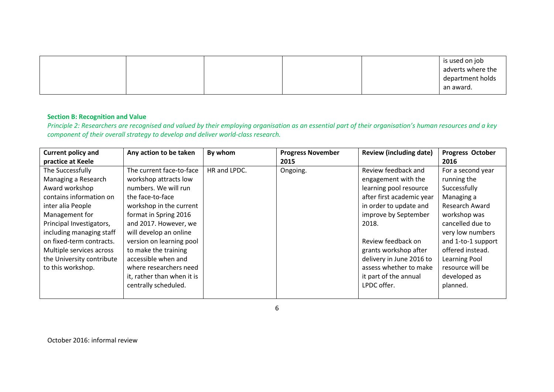|  |  |  | is used on job<br>adverts where the<br>department holds |
|--|--|--|---------------------------------------------------------|
|  |  |  | an award.                                               |

#### **Section B: Recognition and Value**

Principle 2: Researchers are recognised and valued by their employing organisation as an essential part of their organisation's human resources and a key *component of their overall strategy to develop and deliver world-class research.*

| <b>Current policy and</b> | Any action to be taken     | By whom      | <b>Progress November</b> | <b>Review (including date)</b> | Progress October      |
|---------------------------|----------------------------|--------------|--------------------------|--------------------------------|-----------------------|
| practice at Keele         |                            |              | 2015                     |                                | 2016                  |
| The Successfully          | The current face-to-face   | HR and LPDC. | Ongoing.                 | Review feedback and            | For a second year     |
| Managing a Research       | workshop attracts low      |              |                          | engagement with the            | running the           |
| Award workshop            | numbers. We will run       |              |                          | learning pool resource         | Successfully          |
| contains information on   | the face-to-face           |              |                          | after first academic year      | Managing a            |
| inter alia People         | workshop in the current    |              |                          | in order to update and         | <b>Research Award</b> |
| Management for            | format in Spring 2016      |              |                          | improve by September           | workshop was          |
| Principal Investigators,  | and 2017. However, we      |              |                          | 2018.                          | cancelled due to      |
| including managing staff  | will develop an online     |              |                          |                                | very low numbers      |
| on fixed-term contracts.  | version on learning pool   |              |                          | Review feedback on             | and 1-to-1 support    |
| Multiple services across  | to make the training       |              |                          | grants workshop after          | offered instead.      |
| the University contribute | accessible when and        |              |                          | delivery in June 2016 to       | Learning Pool         |
| to this workshop.         | where researchers need     |              |                          | assess whether to make         | resource will be      |
|                           | it, rather than when it is |              |                          | it part of the annual          | developed as          |
|                           | centrally scheduled.       |              |                          | LPDC offer.                    | planned.              |
|                           |                            |              |                          |                                |                       |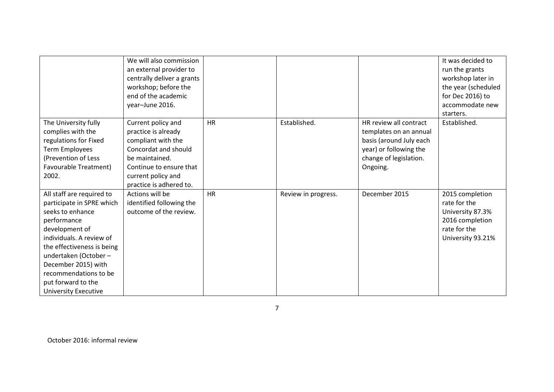|                                                                                                                                                                                                                                                                                                     | We will also commission<br>an external provider to<br>centrally deliver a grants<br>workshop; before the<br>end of the academic<br>year-June 2016.                                    |           |                     |                                                                                                                                             | It was decided to<br>run the grants<br>workshop later in<br>the year (scheduled<br>for Dec 2016) to<br>accommodate new<br>starters. |
|-----------------------------------------------------------------------------------------------------------------------------------------------------------------------------------------------------------------------------------------------------------------------------------------------------|---------------------------------------------------------------------------------------------------------------------------------------------------------------------------------------|-----------|---------------------|---------------------------------------------------------------------------------------------------------------------------------------------|-------------------------------------------------------------------------------------------------------------------------------------|
| The University fully<br>complies with the<br>regulations for Fixed<br><b>Term Employees</b><br>(Prevention of Less<br><b>Favourable Treatment)</b><br>2002.                                                                                                                                         | Current policy and<br>practice is already<br>compliant with the<br>Concordat and should<br>be maintained.<br>Continue to ensure that<br>current policy and<br>practice is adhered to. | <b>HR</b> | Established.        | HR review all contract<br>templates on an annual<br>basis (around July each<br>year) or following the<br>change of legislation.<br>Ongoing. | Established.                                                                                                                        |
| All staff are required to<br>participate in SPRE which<br>seeks to enhance<br>performance<br>development of<br>individuals. A review of<br>the effectiveness is being<br>undertaken (October -<br>December 2015) with<br>recommendations to be<br>put forward to the<br><b>University Executive</b> | Actions will be<br>identified following the<br>outcome of the review.                                                                                                                 | <b>HR</b> | Review in progress. | December 2015                                                                                                                               | 2015 completion<br>rate for the<br>University 87.3%<br>2016 completion<br>rate for the<br>University 93.21%                         |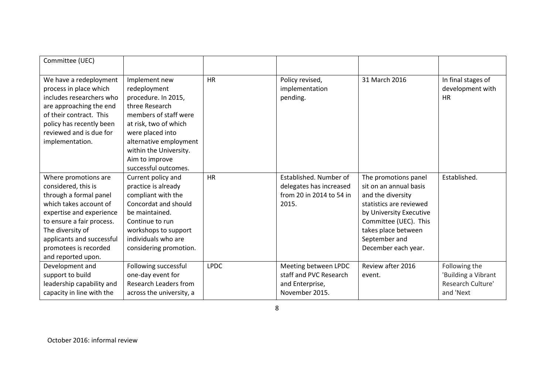| Committee (UEC)                                                                                                                                                                                                                                          |                                                                                                                                                                                                                                            |             |                                                                                        |                                                                                                                                                                                                                   |                                                                        |
|----------------------------------------------------------------------------------------------------------------------------------------------------------------------------------------------------------------------------------------------------------|--------------------------------------------------------------------------------------------------------------------------------------------------------------------------------------------------------------------------------------------|-------------|----------------------------------------------------------------------------------------|-------------------------------------------------------------------------------------------------------------------------------------------------------------------------------------------------------------------|------------------------------------------------------------------------|
| We have a redeployment<br>process in place which<br>includes researchers who<br>are approaching the end<br>of their contract. This<br>policy has recently been<br>reviewed and is due for<br>implementation.                                             | Implement new<br>redeployment<br>procedure. In 2015,<br>three Research<br>members of staff were<br>at risk, two of which<br>were placed into<br>alternative employment<br>within the University.<br>Aim to improve<br>successful outcomes. | <b>HR</b>   | Policy revised,<br>implementation<br>pending.                                          | 31 March 2016                                                                                                                                                                                                     | In final stages of<br>development with<br><b>HR</b>                    |
| Where promotions are<br>considered, this is<br>through a formal panel<br>which takes account of<br>expertise and experience<br>to ensure a fair process.<br>The diversity of<br>applicants and successful<br>promotees is recorded<br>and reported upon. | Current policy and<br>practice is already<br>compliant with the<br>Concordat and should<br>be maintained.<br>Continue to run<br>workshops to support<br>individuals who are<br>considering promotion.                                      | <b>HR</b>   | Established. Number of<br>delegates has increased<br>from 20 in 2014 to 54 in<br>2015. | The promotions panel<br>sit on an annual basis<br>and the diversity<br>statistics are reviewed<br>by University Executive<br>Committee (UEC). This<br>takes place between<br>September and<br>December each year. | Established.                                                           |
| Development and<br>support to build<br>leadership capability and<br>capacity in line with the                                                                                                                                                            | Following successful<br>one-day event for<br>Research Leaders from<br>across the university, a                                                                                                                                             | <b>LPDC</b> | Meeting between LPDC<br>staff and PVC Research<br>and Enterprise,<br>November 2015.    | Review after 2016<br>event.                                                                                                                                                                                       | Following the<br>'Building a Vibrant<br>Research Culture'<br>and 'Next |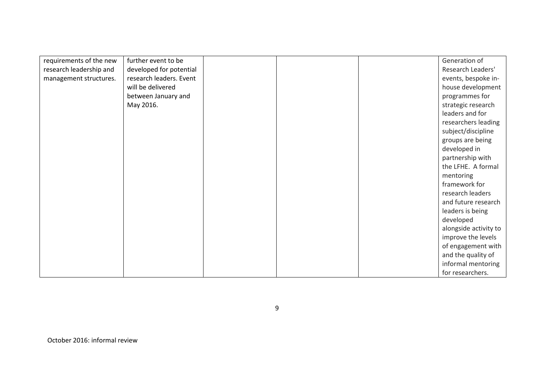| requirements of the new | further event to be     |  | Generation of         |
|-------------------------|-------------------------|--|-----------------------|
| research leadership and | developed for potential |  | Research Leaders'     |
| management structures.  | research leaders. Event |  | events, bespoke in-   |
|                         | will be delivered       |  | house development     |
|                         | between January and     |  | programmes for        |
|                         | May 2016.               |  | strategic research    |
|                         |                         |  | leaders and for       |
|                         |                         |  | researchers leading   |
|                         |                         |  | subject/discipline    |
|                         |                         |  | groups are being      |
|                         |                         |  | developed in          |
|                         |                         |  | partnership with      |
|                         |                         |  | the LFHE. A formal    |
|                         |                         |  | mentoring             |
|                         |                         |  | framework for         |
|                         |                         |  | research leaders      |
|                         |                         |  | and future research   |
|                         |                         |  | leaders is being      |
|                         |                         |  | developed             |
|                         |                         |  | alongside activity to |
|                         |                         |  | improve the levels    |
|                         |                         |  | of engagement with    |
|                         |                         |  | and the quality of    |
|                         |                         |  | informal mentoring    |
|                         |                         |  | for researchers.      |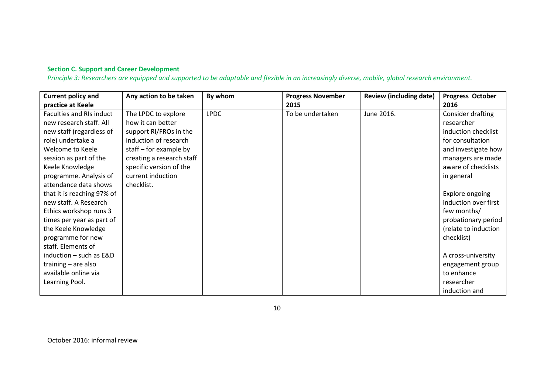## **Section C. Support and Career Development**

*Principle 3: Researchers are equipped and supported to be adaptable and flexible in an increasingly diverse, mobile, global research environment.*

| <b>Current policy and</b>       | Any action to be taken    | By whom     | <b>Progress November</b> | <b>Review (including date)</b> | Progress October       |
|---------------------------------|---------------------------|-------------|--------------------------|--------------------------------|------------------------|
| practice at Keele               |                           |             | 2015                     |                                | 2016                   |
| <b>Faculties and RIs induct</b> | The LPDC to explore       | <b>LPDC</b> | To be undertaken         | June 2016.                     | Consider drafting      |
| new research staff. All         | how it can better         |             |                          |                                | researcher             |
| new staff (regardless of        | support RI/FROs in the    |             |                          |                                | induction checklist    |
| role) undertake a               | induction of research     |             |                          |                                | for consultation       |
| Welcome to Keele                | staff $-$ for example by  |             |                          |                                | and investigate how    |
| session as part of the          | creating a research staff |             |                          |                                | managers are made      |
| Keele Knowledge                 | specific version of the   |             |                          |                                | aware of checklists    |
| programme. Analysis of          | current induction         |             |                          |                                | in general             |
| attendance data shows           | checklist.                |             |                          |                                |                        |
| that it is reaching 97% of      |                           |             |                          |                                | <b>Explore ongoing</b> |
| new staff. A Research           |                           |             |                          |                                | induction over first   |
| Ethics workshop runs 3          |                           |             |                          |                                | few months/            |
| times per year as part of       |                           |             |                          |                                | probationary period    |
| the Keele Knowledge             |                           |             |                          |                                | (relate to induction   |
| programme for new               |                           |             |                          |                                | checklist)             |
| staff. Elements of              |                           |             |                          |                                |                        |
| induction - such as E&D         |                           |             |                          |                                | A cross-university     |
| training - are also             |                           |             |                          |                                | engagement group       |
| available online via            |                           |             |                          |                                | to enhance             |
| Learning Pool.                  |                           |             |                          |                                | researcher             |
|                                 |                           |             |                          |                                | induction and          |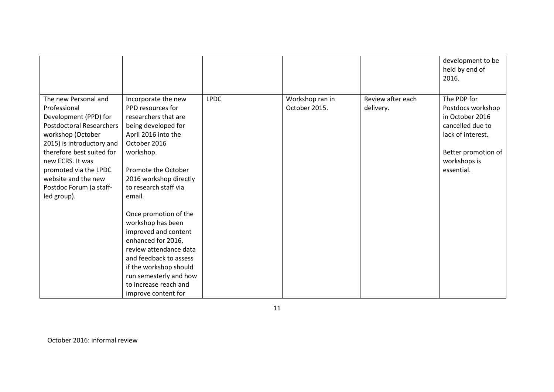|                                                                                                                                                                                                                                                                                               |                                                                                                                                                                                                                                                                                                                                                                                                                                                              |             |                                  |                                | development to be<br>held by end of<br>2016.                                                                                                      |
|-----------------------------------------------------------------------------------------------------------------------------------------------------------------------------------------------------------------------------------------------------------------------------------------------|--------------------------------------------------------------------------------------------------------------------------------------------------------------------------------------------------------------------------------------------------------------------------------------------------------------------------------------------------------------------------------------------------------------------------------------------------------------|-------------|----------------------------------|--------------------------------|---------------------------------------------------------------------------------------------------------------------------------------------------|
| The new Personal and<br>Professional<br>Development (PPD) for<br><b>Postdoctoral Researchers</b><br>workshop (October<br>2015) is introductory and<br>therefore best suited for<br>new ECRS. It was<br>promoted via the LPDC<br>website and the new<br>Postdoc Forum (a staff-<br>led group). | Incorporate the new<br>PPD resources for<br>researchers that are<br>being developed for<br>April 2016 into the<br>October 2016<br>workshop.<br>Promote the October<br>2016 workshop directly<br>to research staff via<br>email.<br>Once promotion of the<br>workshop has been<br>improved and content<br>enhanced for 2016,<br>review attendance data<br>and feedback to assess<br>if the workshop should<br>run semesterly and how<br>to increase reach and | <b>LPDC</b> | Workshop ran in<br>October 2015. | Review after each<br>delivery. | The PDP for<br>Postdocs workshop<br>in October 2016<br>cancelled due to<br>lack of interest.<br>Better promotion of<br>workshops is<br>essential. |
|                                                                                                                                                                                                                                                                                               | improve content for                                                                                                                                                                                                                                                                                                                                                                                                                                          |             |                                  |                                |                                                                                                                                                   |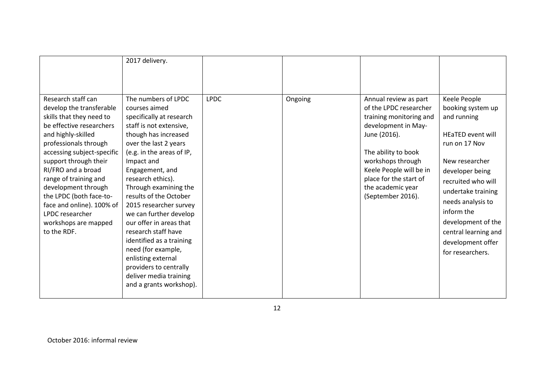|                                                                                                                                                                                                                                                                                                                                                                                                      | 2017 delivery.                                                                                                                                                                                                                                                                                                                                                                                                                                                                                                                                  |             |         |                                                                                                                                                                                                                                                              |                                                                                                                                                                                                                                                                                                   |
|------------------------------------------------------------------------------------------------------------------------------------------------------------------------------------------------------------------------------------------------------------------------------------------------------------------------------------------------------------------------------------------------------|-------------------------------------------------------------------------------------------------------------------------------------------------------------------------------------------------------------------------------------------------------------------------------------------------------------------------------------------------------------------------------------------------------------------------------------------------------------------------------------------------------------------------------------------------|-------------|---------|--------------------------------------------------------------------------------------------------------------------------------------------------------------------------------------------------------------------------------------------------------------|---------------------------------------------------------------------------------------------------------------------------------------------------------------------------------------------------------------------------------------------------------------------------------------------------|
| Research staff can<br>develop the transferable<br>skills that they need to<br>be effective researchers<br>and highly-skilled<br>professionals through<br>accessing subject-specific<br>support through their<br>RI/FRO and a broad<br>range of training and<br>development through<br>the LPDC (both face-to-<br>face and online). 100% of<br>LPDC researcher<br>workshops are mapped<br>to the RDF. | The numbers of LPDC<br>courses aimed<br>specifically at research<br>staff is not extensive,<br>though has increased<br>over the last 2 years<br>(e.g. in the areas of IP,<br>Impact and<br>Engagement, and<br>research ethics).<br>Through examining the<br>results of the October<br>2015 researcher survey<br>we can further develop<br>our offer in areas that<br>research staff have<br>identified as a training<br>need (for example,<br>enlisting external<br>providers to centrally<br>deliver media training<br>and a grants workshop). | <b>LPDC</b> | Ongoing | Annual review as part<br>of the LPDC researcher<br>training monitoring and<br>development in May-<br>June (2016).<br>The ability to book<br>workshops through<br>Keele People will be in<br>place for the start of<br>the academic year<br>(September 2016). | Keele People<br>booking system up<br>and running<br>HEaTED event will<br>run on 17 Nov<br>New researcher<br>developer being<br>recruited who will<br>undertake training<br>needs analysis to<br>inform the<br>development of the<br>central learning and<br>development offer<br>for researchers. |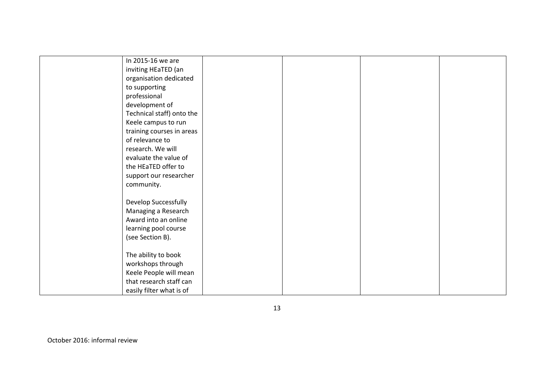| In 2015-16 we are           |  |  |
|-----------------------------|--|--|
| inviting HEaTED (an         |  |  |
| organisation dedicated      |  |  |
| to supporting               |  |  |
| professional                |  |  |
| development of              |  |  |
| Technical staff) onto the   |  |  |
| Keele campus to run         |  |  |
| training courses in areas   |  |  |
| of relevance to             |  |  |
| research. We will           |  |  |
| evaluate the value of       |  |  |
| the HEaTED offer to         |  |  |
| support our researcher      |  |  |
| community.                  |  |  |
|                             |  |  |
| <b>Develop Successfully</b> |  |  |
| Managing a Research         |  |  |
| Award into an online        |  |  |
| learning pool course        |  |  |
| (see Section B).            |  |  |
|                             |  |  |
| The ability to book         |  |  |
| workshops through           |  |  |
| Keele People will mean      |  |  |
| that research staff can     |  |  |
| easily filter what is of    |  |  |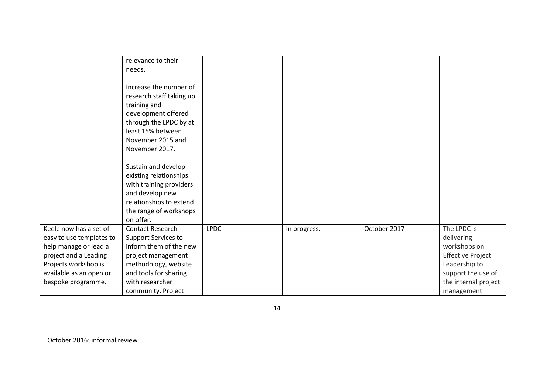|                                                                                                                                                                               | relevance to their<br>needs.                                                                                                                                                             |             |              |              |                                                                                                                                                    |
|-------------------------------------------------------------------------------------------------------------------------------------------------------------------------------|------------------------------------------------------------------------------------------------------------------------------------------------------------------------------------------|-------------|--------------|--------------|----------------------------------------------------------------------------------------------------------------------------------------------------|
|                                                                                                                                                                               | Increase the number of<br>research staff taking up<br>training and<br>development offered<br>through the LPDC by at<br>least 15% between<br>November 2015 and<br>November 2017.          |             |              |              |                                                                                                                                                    |
|                                                                                                                                                                               | Sustain and develop<br>existing relationships<br>with training providers<br>and develop new<br>relationships to extend<br>the range of workshops<br>on offer.                            |             |              |              |                                                                                                                                                    |
| Keele now has a set of<br>easy to use templates to<br>help manage or lead a<br>project and a Leading<br>Projects workshop is<br>available as an open or<br>bespoke programme. | Contact Research<br><b>Support Services to</b><br>inform them of the new<br>project management<br>methodology, website<br>and tools for sharing<br>with researcher<br>community. Project | <b>LPDC</b> | In progress. | October 2017 | The LPDC is<br>delivering<br>workshops on<br><b>Effective Project</b><br>Leadership to<br>support the use of<br>the internal project<br>management |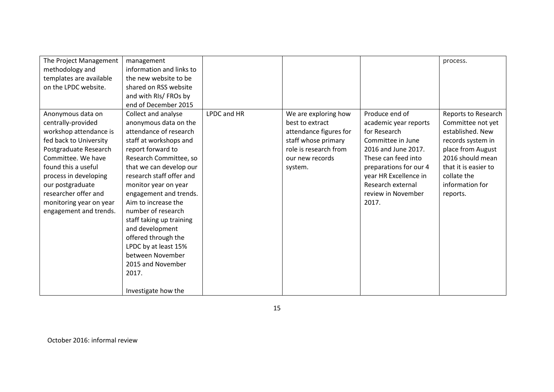| The Project Management  | management               |             |                        |                        | process.             |
|-------------------------|--------------------------|-------------|------------------------|------------------------|----------------------|
| methodology and         | information and links to |             |                        |                        |                      |
| templates are available | the new website to be    |             |                        |                        |                      |
| on the LPDC website.    | shared on RSS website    |             |                        |                        |                      |
|                         | and with RIs/ FROs by    |             |                        |                        |                      |
|                         | end of December 2015     |             |                        |                        |                      |
| Anonymous data on       | Collect and analyse      | LPDC and HR | We are exploring how   | Produce end of         | Reports to Research  |
| centrally-provided      | anonymous data on the    |             | best to extract        | academic year reports  | Committee not yet    |
| workshop attendance is  | attendance of research   |             | attendance figures for | for Research           | established. New     |
| fed back to University  | staff at workshops and   |             | staff whose primary    | Committee in June      | records system in    |
| Postgraduate Research   | report forward to        |             | role is research from  | 2016 and June 2017.    | place from August    |
| Committee. We have      | Research Committee, so   |             | our new records        | These can feed into    | 2016 should mean     |
| found this a useful     | that we can develop our  |             | system.                | preparations for our 4 | that it is easier to |
| process in developing   | research staff offer and |             |                        | year HR Excellence in  | collate the          |
| our postgraduate        | monitor year on year     |             |                        | Research external      | information for      |
| researcher offer and    | engagement and trends.   |             |                        | review in November     | reports.             |
| monitoring year on year | Aim to increase the      |             |                        | 2017.                  |                      |
| engagement and trends.  | number of research       |             |                        |                        |                      |
|                         | staff taking up training |             |                        |                        |                      |
|                         | and development          |             |                        |                        |                      |
|                         | offered through the      |             |                        |                        |                      |
|                         | LPDC by at least 15%     |             |                        |                        |                      |
|                         | between November         |             |                        |                        |                      |
|                         | 2015 and November        |             |                        |                        |                      |
|                         | 2017.                    |             |                        |                        |                      |
|                         |                          |             |                        |                        |                      |
|                         | Investigate how the      |             |                        |                        |                      |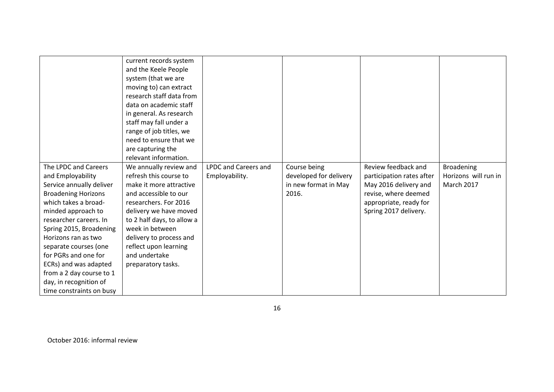| The LPDC and Careers                          | current records system<br>and the Keele People<br>system (that we are<br>moving to) can extract<br>research staff data from<br>data on academic staff<br>in general. As research<br>staff may fall under a<br>range of job titles, we<br>need to ensure that we<br>are capturing the<br>relevant information.<br>We annually review and | <b>LPDC and Careers and</b> | Course being                                   | Review feedback and                                | <b>Broadening</b>                         |
|-----------------------------------------------|-----------------------------------------------------------------------------------------------------------------------------------------------------------------------------------------------------------------------------------------------------------------------------------------------------------------------------------------|-----------------------------|------------------------------------------------|----------------------------------------------------|-------------------------------------------|
| and Employability<br>Service annually deliver | refresh this course to<br>make it more attractive                                                                                                                                                                                                                                                                                       | Employability.              | developed for delivery<br>in new format in May | participation rates after<br>May 2016 delivery and | Horizons will run in<br><b>March 2017</b> |
| <b>Broadening Horizons</b>                    | and accessible to our                                                                                                                                                                                                                                                                                                                   |                             | 2016.                                          | revise, where deemed                               |                                           |
| which takes a broad-                          | researchers. For 2016                                                                                                                                                                                                                                                                                                                   |                             |                                                | appropriate, ready for                             |                                           |
| minded approach to<br>researcher careers. In  | delivery we have moved<br>to 2 half days, to allow a                                                                                                                                                                                                                                                                                    |                             |                                                | Spring 2017 delivery.                              |                                           |
| Spring 2015, Broadening                       | week in between                                                                                                                                                                                                                                                                                                                         |                             |                                                |                                                    |                                           |
| Horizons ran as two                           | delivery to process and                                                                                                                                                                                                                                                                                                                 |                             |                                                |                                                    |                                           |
| separate courses (one                         | reflect upon learning                                                                                                                                                                                                                                                                                                                   |                             |                                                |                                                    |                                           |
| for PGRs and one for                          | and undertake                                                                                                                                                                                                                                                                                                                           |                             |                                                |                                                    |                                           |
| ECRs) and was adapted                         | preparatory tasks.                                                                                                                                                                                                                                                                                                                      |                             |                                                |                                                    |                                           |
| from a 2 day course to 1                      |                                                                                                                                                                                                                                                                                                                                         |                             |                                                |                                                    |                                           |
| day, in recognition of                        |                                                                                                                                                                                                                                                                                                                                         |                             |                                                |                                                    |                                           |
| time constraints on busy                      |                                                                                                                                                                                                                                                                                                                                         |                             |                                                |                                                    |                                           |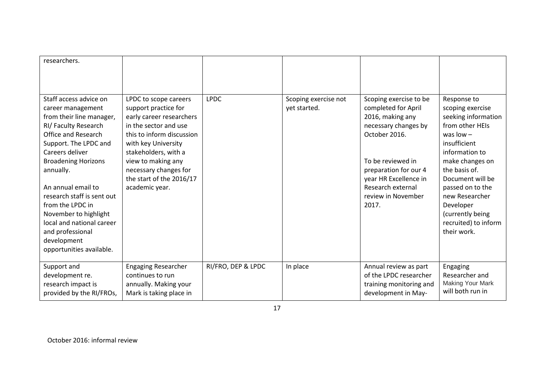| researchers.                                                                                                                                                                                                                                                                                                                                                                                                      |                                                                                                                                                                                                                                                                             |                    |                                      |                                                                                                                                                                                                                                       |                                                                                                                                                                                                                                                                                                  |
|-------------------------------------------------------------------------------------------------------------------------------------------------------------------------------------------------------------------------------------------------------------------------------------------------------------------------------------------------------------------------------------------------------------------|-----------------------------------------------------------------------------------------------------------------------------------------------------------------------------------------------------------------------------------------------------------------------------|--------------------|--------------------------------------|---------------------------------------------------------------------------------------------------------------------------------------------------------------------------------------------------------------------------------------|--------------------------------------------------------------------------------------------------------------------------------------------------------------------------------------------------------------------------------------------------------------------------------------------------|
| Staff access advice on<br>career management<br>from their line manager,<br>RI/ Faculty Research<br><b>Office and Research</b><br>Support. The LPDC and<br>Careers deliver<br><b>Broadening Horizons</b><br>annually.<br>An annual email to<br>research staff is sent out<br>from the LPDC in<br>November to highlight<br>local and national career<br>and professional<br>development<br>opportunities available. | LPDC to scope careers<br>support practice for<br>early career researchers<br>in the sector and use<br>this to inform discussion<br>with key University<br>stakeholders, with a<br>view to making any<br>necessary changes for<br>the start of the 2016/17<br>academic year. | <b>LPDC</b>        | Scoping exercise not<br>yet started. | Scoping exercise to be<br>completed for April<br>2016, making any<br>necessary changes by<br>October 2016.<br>To be reviewed in<br>preparation for our 4<br>year HR Excellence in<br>Research external<br>review in November<br>2017. | Response to<br>scoping exercise<br>seeking information<br>from other HEIs<br>was $low -$<br>insufficient<br>information to<br>make changes on<br>the basis of.<br>Document will be<br>passed on to the<br>new Researcher<br>Developer<br>(currently being<br>recruited) to inform<br>their work. |
| Support and<br>development re.<br>research impact is<br>provided by the RI/FROs,                                                                                                                                                                                                                                                                                                                                  | <b>Engaging Researcher</b><br>continues to run<br>annually. Making your<br>Mark is taking place in                                                                                                                                                                          | RI/FRO, DEP & LPDC | In place                             | Annual review as part<br>of the LPDC researcher<br>training monitoring and<br>development in May-                                                                                                                                     | Engaging<br>Researcher and<br>Making Your Mark<br>will both run in                                                                                                                                                                                                                               |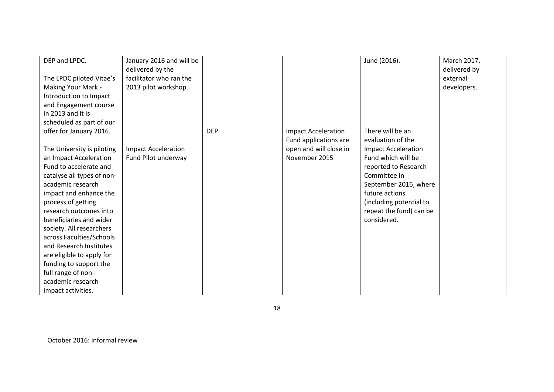| DEP and LPDC.              | January 2016 and will be   |            |                            | June (2016).               | March 2017,  |
|----------------------------|----------------------------|------------|----------------------------|----------------------------|--------------|
|                            | delivered by the           |            |                            |                            | delivered by |
| The LPDC piloted Vitae's   | facilitator who ran the    |            |                            |                            | external     |
| Making Your Mark -         | 2013 pilot workshop.       |            |                            |                            | developers.  |
| Introduction to Impact     |                            |            |                            |                            |              |
| and Engagement course      |                            |            |                            |                            |              |
| in 2013 and it is          |                            |            |                            |                            |              |
| scheduled as part of our   |                            |            |                            |                            |              |
| offer for January 2016.    |                            | <b>DEP</b> | <b>Impact Acceleration</b> | There will be an           |              |
|                            |                            |            | Fund applications are      | evaluation of the          |              |
| The University is piloting | <b>Impact Acceleration</b> |            | open and will close in     | <b>Impact Acceleration</b> |              |
| an Impact Acceleration     | Fund Pilot underway        |            | November 2015              | Fund which will be         |              |
| Fund to accelerate and     |                            |            |                            | reported to Research       |              |
| catalyse all types of non- |                            |            |                            | Committee in               |              |
| academic research          |                            |            |                            | September 2016, where      |              |
| impact and enhance the     |                            |            |                            | future actions             |              |
| process of getting         |                            |            |                            | (including potential to    |              |
| research outcomes into     |                            |            |                            | repeat the fund) can be    |              |
| beneficiaries and wider    |                            |            |                            | considered.                |              |
| society. All researchers   |                            |            |                            |                            |              |
| across Faculties/Schools   |                            |            |                            |                            |              |
| and Research Institutes    |                            |            |                            |                            |              |
| are eligible to apply for  |                            |            |                            |                            |              |
| funding to support the     |                            |            |                            |                            |              |
| full range of non-         |                            |            |                            |                            |              |
| academic research          |                            |            |                            |                            |              |
| impact activities.         |                            |            |                            |                            |              |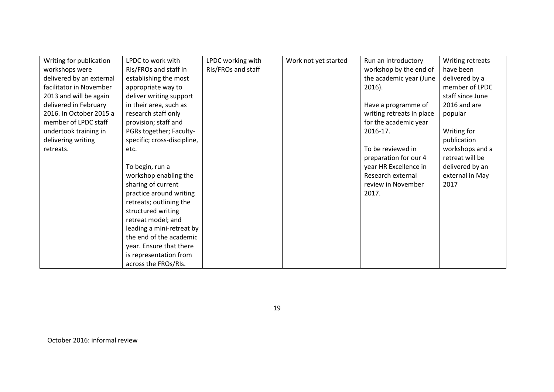| Writing for publication  | LPDC to work with           | LPDC working with  | Work not yet started | Run an introductory       | Writing retreats |
|--------------------------|-----------------------------|--------------------|----------------------|---------------------------|------------------|
| workshops were           | RIs/FROs and staff in       | RIs/FROs and staff |                      | workshop by the end of    | have been        |
| delivered by an external | establishing the most       |                    |                      | the academic year (June   | delivered by a   |
| facilitator in November  | appropriate way to          |                    |                      | $2016$ ).                 | member of LPDC   |
| 2013 and will be again   | deliver writing support     |                    |                      |                           | staff since June |
| delivered in February    | in their area, such as      |                    |                      | Have a programme of       | 2016 and are     |
| 2016. In October 2015 a  | research staff only         |                    |                      | writing retreats in place | popular          |
| member of LPDC staff     | provision; staff and        |                    |                      | for the academic year     |                  |
| undertook training in    | PGRs together; Faculty-     |                    |                      | 2016-17.                  | Writing for      |
| delivering writing       | specific; cross-discipline, |                    |                      |                           | publication      |
| retreats.                | etc.                        |                    |                      | To be reviewed in         | workshops and a  |
|                          |                             |                    |                      | preparation for our 4     | retreat will be  |
|                          | To begin, run a             |                    |                      | year HR Excellence in     | delivered by an  |
|                          | workshop enabling the       |                    |                      | Research external         | external in May  |
|                          | sharing of current          |                    |                      | review in November        | 2017             |
|                          | practice around writing     |                    |                      | 2017.                     |                  |
|                          | retreats; outlining the     |                    |                      |                           |                  |
|                          | structured writing          |                    |                      |                           |                  |
|                          | retreat model; and          |                    |                      |                           |                  |
|                          | leading a mini-retreat by   |                    |                      |                           |                  |
|                          | the end of the academic     |                    |                      |                           |                  |
|                          | year. Ensure that there     |                    |                      |                           |                  |
|                          | is representation from      |                    |                      |                           |                  |
|                          | across the FROs/RIs.        |                    |                      |                           |                  |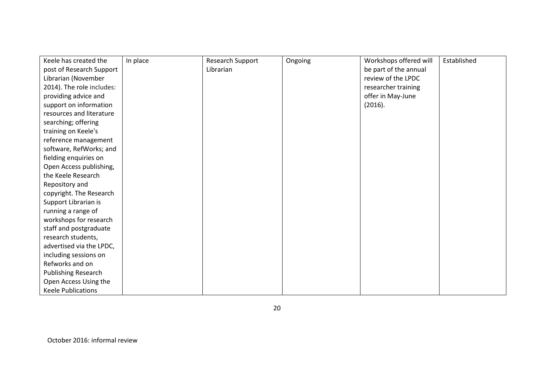| Keele has created the      | In place | Research Support | Ongoing | Workshops offered will | Established |
|----------------------------|----------|------------------|---------|------------------------|-------------|
| post of Research Support   |          | Librarian        |         | be part of the annual  |             |
| Librarian (November        |          |                  |         | review of the LPDC     |             |
| 2014). The role includes:  |          |                  |         | researcher training    |             |
| providing advice and       |          |                  |         | offer in May-June      |             |
| support on information     |          |                  |         | (2016).                |             |
| resources and literature   |          |                  |         |                        |             |
| searching; offering        |          |                  |         |                        |             |
| training on Keele's        |          |                  |         |                        |             |
| reference management       |          |                  |         |                        |             |
| software, RefWorks; and    |          |                  |         |                        |             |
| fielding enquiries on      |          |                  |         |                        |             |
| Open Access publishing,    |          |                  |         |                        |             |
| the Keele Research         |          |                  |         |                        |             |
| Repository and             |          |                  |         |                        |             |
| copyright. The Research    |          |                  |         |                        |             |
| Support Librarian is       |          |                  |         |                        |             |
| running a range of         |          |                  |         |                        |             |
| workshops for research     |          |                  |         |                        |             |
| staff and postgraduate     |          |                  |         |                        |             |
| research students,         |          |                  |         |                        |             |
| advertised via the LPDC,   |          |                  |         |                        |             |
| including sessions on      |          |                  |         |                        |             |
| Refworks and on            |          |                  |         |                        |             |
| <b>Publishing Research</b> |          |                  |         |                        |             |
| Open Access Using the      |          |                  |         |                        |             |
| <b>Keele Publications</b>  |          |                  |         |                        |             |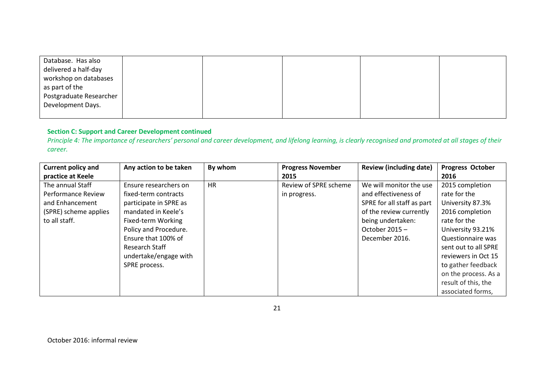| Database. Has also<br>delivered a half-day<br>workshop on databases<br>as part of the<br>Postgraduate Researcher<br>Development Days. |  |  |  |
|---------------------------------------------------------------------------------------------------------------------------------------|--|--|--|
|                                                                                                                                       |  |  |  |

#### **Section C: Support and Career Development continued**

*Principle 4: The importance of researchers' personal and career development, and lifelong learning, is clearly recognised and promoted at all stages of their career.*

| <b>Current policy and</b> | Any action to be taken | By whom   | <b>Progress November</b> | <b>Review (including date)</b> | <b>Progress October</b> |
|---------------------------|------------------------|-----------|--------------------------|--------------------------------|-------------------------|
| practice at Keele         |                        |           | 2015                     |                                | 2016                    |
| The annual Staff          | Ensure researchers on  | <b>HR</b> | Review of SPRE scheme    | We will monitor the use        | 2015 completion         |
| <b>Performance Review</b> | fixed-term contracts   |           | in progress.             | and effectiveness of           | rate for the            |
| and Enhancement           | participate in SPRE as |           |                          | SPRE for all staff as part     | University 87.3%        |
| (SPRE) scheme applies     | mandated in Keele's    |           |                          | of the review currently        | 2016 completion         |
| to all staff.             | Fixed-term Working     |           |                          | being undertaken:              | rate for the            |
|                           | Policy and Procedure.  |           |                          | October $2015 -$               | University 93.21%       |
|                           | Ensure that 100% of    |           |                          | December 2016.                 | Questionnaire was       |
|                           | Research Staff         |           |                          |                                | sent out to all SPRE    |
|                           | undertake/engage with  |           |                          |                                | reviewers in Oct 15     |
|                           | SPRE process.          |           |                          |                                | to gather feedback      |
|                           |                        |           |                          |                                | on the process. As a    |
|                           |                        |           |                          |                                | result of this, the     |
|                           |                        |           |                          |                                | associated forms,       |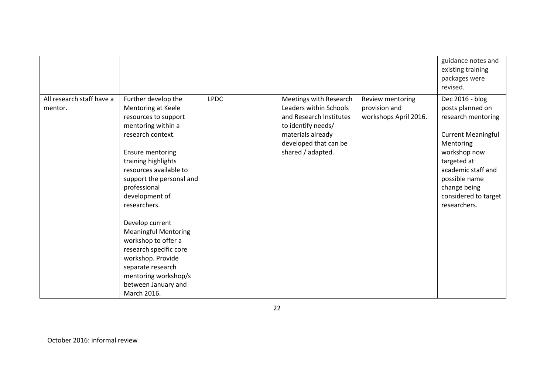|                                      |                                                                                                                                                                                                                                                                                                                                                                                                                                                                                   |             |                                                                                                                                                                      |                                                            | guidance notes and<br>existing training<br>packages were<br>revised.                                                                                                                                                              |
|--------------------------------------|-----------------------------------------------------------------------------------------------------------------------------------------------------------------------------------------------------------------------------------------------------------------------------------------------------------------------------------------------------------------------------------------------------------------------------------------------------------------------------------|-------------|----------------------------------------------------------------------------------------------------------------------------------------------------------------------|------------------------------------------------------------|-----------------------------------------------------------------------------------------------------------------------------------------------------------------------------------------------------------------------------------|
| All research staff have a<br>mentor. | Further develop the<br>Mentoring at Keele<br>resources to support<br>mentoring within a<br>research context.<br><b>Ensure mentoring</b><br>training highlights<br>resources available to<br>support the personal and<br>professional<br>development of<br>researchers.<br>Develop current<br><b>Meaningful Mentoring</b><br>workshop to offer a<br>research specific core<br>workshop. Provide<br>separate research<br>mentoring workshop/s<br>between January and<br>March 2016. | <b>LPDC</b> | Meetings with Research<br>Leaders within Schools<br>and Research Institutes<br>to identify needs/<br>materials already<br>developed that can be<br>shared / adapted. | Review mentoring<br>provision and<br>workshops April 2016. | Dec 2016 - blog<br>posts planned on<br>research mentoring<br><b>Current Meaningful</b><br>Mentoring<br>workshop now<br>targeted at<br>academic staff and<br>possible name<br>change being<br>considered to target<br>researchers. |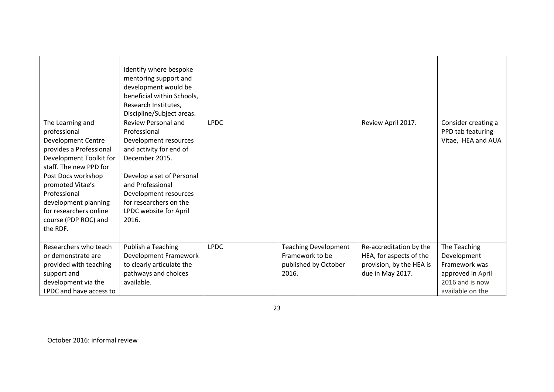| The Learning and<br>professional<br><b>Development Centre</b><br>provides a Professional<br>Development Toolkit for<br>staff. The new PPD for<br>Post Docs workshop<br>promoted Vitae's<br>Professional<br>development planning<br>for researchers online<br>course (PDP ROC) and<br>the RDF. | Identify where bespoke<br>mentoring support and<br>development would be<br>beneficial within Schools,<br>Research Institutes,<br>Discipline/Subject areas.<br><b>Review Personal and</b><br>Professional<br>Development resources<br>and activity for end of<br>December 2015.<br>Develop a set of Personal<br>and Professional<br>Development resources<br>for researchers on the<br>LPDC website for April<br>2016. | <b>LPDC</b> |                                                                                 | Review April 2017.                                                                                 | Consider creating a<br>PPD tab featuring<br>Vitae, HEA and AUA                                           |
|-----------------------------------------------------------------------------------------------------------------------------------------------------------------------------------------------------------------------------------------------------------------------------------------------|-----------------------------------------------------------------------------------------------------------------------------------------------------------------------------------------------------------------------------------------------------------------------------------------------------------------------------------------------------------------------------------------------------------------------|-------------|---------------------------------------------------------------------------------|----------------------------------------------------------------------------------------------------|----------------------------------------------------------------------------------------------------------|
| Researchers who teach<br>or demonstrate are<br>provided with teaching<br>support and<br>development via the<br>LPDC and have access to                                                                                                                                                        | Publish a Teaching<br>Development Framework<br>to clearly articulate the<br>pathways and choices<br>available.                                                                                                                                                                                                                                                                                                        | <b>LPDC</b> | <b>Teaching Development</b><br>Framework to be<br>published by October<br>2016. | Re-accreditation by the<br>HEA, for aspects of the<br>provision, by the HEA is<br>due in May 2017. | The Teaching<br>Development<br>Framework was<br>approved in April<br>2016 and is now<br>available on the |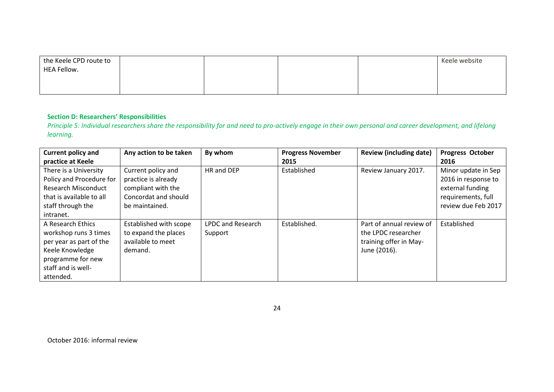| the Keele CPD route to |  |  | Keele website |
|------------------------|--|--|---------------|
| HEA Fellow.            |  |  |               |
|                        |  |  |               |
|                        |  |  |               |

#### **Section D: Researchers' Responsibilities**

*Principle 5: Individual researchers share the responsibility for and need to pro-actively engage in their own personal and career development, and lifelong learning.*

| <b>Current policy and</b>                                                                                                                        | Any action to be taken                                                                                    | By whom                             | <b>Progress November</b> | <b>Review (including date)</b>                                                            | <b>Progress October</b>                                                                                     |
|--------------------------------------------------------------------------------------------------------------------------------------------------|-----------------------------------------------------------------------------------------------------------|-------------------------------------|--------------------------|-------------------------------------------------------------------------------------------|-------------------------------------------------------------------------------------------------------------|
| practice at Keele                                                                                                                                |                                                                                                           |                                     | 2015                     |                                                                                           | 2016                                                                                                        |
| There is a University<br>Policy and Procedure for<br><b>Research Misconduct</b><br>that is available to all<br>staff through the<br>intranet.    | Current policy and<br>practice is already<br>compliant with the<br>Concordat and should<br>be maintained. | HR and DEP                          | Established              | Review January 2017.                                                                      | Minor update in Sep<br>2016 in response to<br>external funding<br>requirements, full<br>review due Feb 2017 |
| A Research Ethics<br>workshop runs 3 times<br>per year as part of the<br>Keele Knowledge<br>programme for new<br>staff and is well-<br>attended. | Established with scope<br>to expand the places<br>available to meet<br>demand.                            | <b>LPDC and Research</b><br>Support | Established.             | Part of annual review of<br>the LPDC researcher<br>training offer in May-<br>June (2016). | Established                                                                                                 |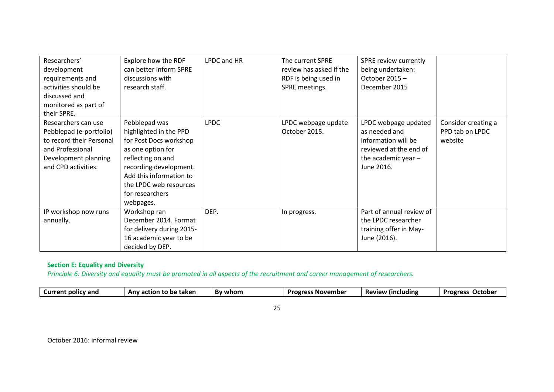| Researchers'<br>development<br>requirements and<br>activities should be<br>discussed and<br>monitored as part of<br>their SPRE.               | Explore how the RDF<br>can better inform SPRE<br>discussions with<br>research staff.                                                                                                                                       | LPDC and HR | The current SPRE<br>review has asked if the<br>RDF is being used in<br>SPRE meetings. | SPRE review currently<br>being undertaken:<br>October 2015 -<br>December 2015                                                 |                                                   |
|-----------------------------------------------------------------------------------------------------------------------------------------------|----------------------------------------------------------------------------------------------------------------------------------------------------------------------------------------------------------------------------|-------------|---------------------------------------------------------------------------------------|-------------------------------------------------------------------------------------------------------------------------------|---------------------------------------------------|
| Researchers can use<br>Pebblepad (e-portfolio)<br>to record their Personal<br>and Professional<br>Development planning<br>and CPD activities. | Pebblepad was<br>highlighted in the PPD<br>for Post Docs workshop<br>as one option for<br>reflecting on and<br>recording development.<br>Add this information to<br>the LPDC web resources<br>for researchers<br>webpages. | <b>LPDC</b> | LPDC webpage update<br>October 2015.                                                  | LPDC webpage updated<br>as needed and<br>information will be<br>reviewed at the end of<br>the academic year $-$<br>June 2016. | Consider creating a<br>PPD tab on LPDC<br>website |
| IP workshop now runs<br>annually.                                                                                                             | Workshop ran<br>December 2014. Format<br>for delivery during 2015-<br>16 academic year to be<br>decided by DEP.                                                                                                            | DEP.        | In progress.                                                                          | Part of annual review of<br>the LPDC researcher<br>training offer in May-<br>June (2016).                                     |                                                   |

# **Section E: Equality and Diversity**

*Principle 6: Diversity and equality must be promoted in all aspects of the recruitment and career management of researchers.*

| . .        |               |
|------------|---------------|
| I<br>v<br> | I<br>۰.<br>۰. |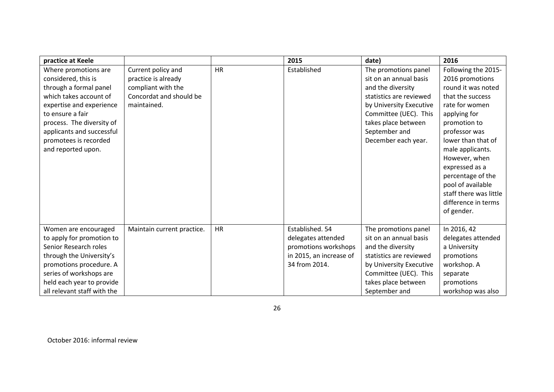| practice at Keele           |                            |           | 2015                    | date)                   | 2016                   |
|-----------------------------|----------------------------|-----------|-------------------------|-------------------------|------------------------|
| Where promotions are        | Current policy and         | <b>HR</b> | Established             | The promotions panel    | Following the 2015-    |
| considered, this is         | practice is already        |           |                         | sit on an annual basis  | 2016 promotions        |
| through a formal panel      | compliant with the         |           |                         | and the diversity       | round it was noted     |
| which takes account of      | Concordat and should be    |           |                         | statistics are reviewed | that the success       |
| expertise and experience    | maintained.                |           |                         | by University Executive | rate for women         |
| to ensure a fair            |                            |           |                         | Committee (UEC). This   | applying for           |
| process. The diversity of   |                            |           |                         | takes place between     | promotion to           |
| applicants and successful   |                            |           |                         | September and           | professor was          |
| promotees is recorded       |                            |           |                         | December each year.     | lower than that of     |
| and reported upon.          |                            |           |                         |                         | male applicants.       |
|                             |                            |           |                         |                         | However, when          |
|                             |                            |           |                         |                         | expressed as a         |
|                             |                            |           |                         |                         | percentage of the      |
|                             |                            |           |                         |                         | pool of available      |
|                             |                            |           |                         |                         | staff there was little |
|                             |                            |           |                         |                         | difference in terms    |
|                             |                            |           |                         |                         | of gender.             |
|                             |                            |           |                         |                         |                        |
| Women are encouraged        | Maintain current practice. | <b>HR</b> | Established. 54         | The promotions panel    | In 2016, 42            |
| to apply for promotion to   |                            |           | delegates attended      | sit on an annual basis  | delegates attended     |
| Senior Research roles       |                            |           | promotions workshops    | and the diversity       | a University           |
| through the University's    |                            |           | in 2015, an increase of | statistics are reviewed | promotions             |
| promotions procedure. A     |                            |           | 34 from 2014.           | by University Executive | workshop. A            |
| series of workshops are     |                            |           |                         | Committee (UEC). This   | separate               |
| held each year to provide   |                            |           |                         | takes place between     | promotions             |
| all relevant staff with the |                            |           |                         | September and           | workshop was also      |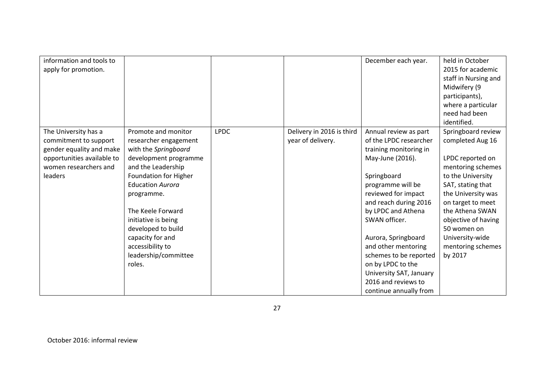| information and tools to   |                         |             |                           | December each year.     | held in October      |
|----------------------------|-------------------------|-------------|---------------------------|-------------------------|----------------------|
| apply for promotion.       |                         |             |                           |                         | 2015 for academic    |
|                            |                         |             |                           |                         | staff in Nursing and |
|                            |                         |             |                           |                         | Midwifery (9         |
|                            |                         |             |                           |                         | participants),       |
|                            |                         |             |                           |                         | where a particular   |
|                            |                         |             |                           |                         | need had been        |
|                            |                         |             |                           |                         | identified.          |
| The University has a       | Promote and monitor     | <b>LPDC</b> | Delivery in 2016 is third | Annual review as part   | Springboard review   |
| commitment to support      | researcher engagement   |             | year of delivery.         | of the LPDC researcher  | completed Aug 16     |
| gender equality and make   | with the Springboard    |             |                           | training monitoring in  |                      |
| opportunities available to | development programme   |             |                           | May-June (2016).        | LPDC reported on     |
| women researchers and      | and the Leadership      |             |                           |                         | mentoring schemes    |
| leaders                    | Foundation for Higher   |             |                           | Springboard             | to the University    |
|                            | <b>Education Aurora</b> |             |                           | programme will be       | SAT, stating that    |
|                            | programme.              |             |                           | reviewed for impact     | the University was   |
|                            |                         |             |                           | and reach during 2016   | on target to meet    |
|                            | The Keele Forward       |             |                           | by LPDC and Athena      | the Athena SWAN      |
|                            | initiative is being     |             |                           | SWAN officer.           | objective of having  |
|                            | developed to build      |             |                           |                         | 50 women on          |
|                            | capacity for and        |             |                           | Aurora, Springboard     | University-wide      |
|                            | accessibility to        |             |                           | and other mentoring     | mentoring schemes    |
|                            | leadership/committee    |             |                           | schemes to be reported  | by 2017              |
|                            | roles.                  |             |                           | on by LPDC to the       |                      |
|                            |                         |             |                           | University SAT, January |                      |
|                            |                         |             |                           | 2016 and reviews to     |                      |
|                            |                         |             |                           | continue annually from  |                      |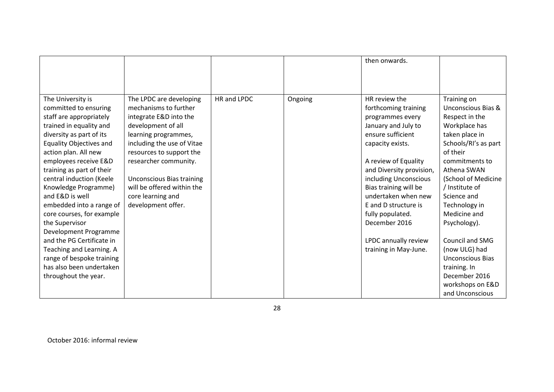|                                |                                  |             |         | then onwards.            |                         |
|--------------------------------|----------------------------------|-------------|---------|--------------------------|-------------------------|
|                                |                                  |             |         |                          |                         |
|                                |                                  |             |         |                          |                         |
|                                |                                  |             |         |                          |                         |
| The University is              | The LPDC are developing          | HR and LPDC | Ongoing | HR review the            | Training on             |
| committed to ensuring          | mechanisms to further            |             |         | forthcoming training     | Unconscious Bias &      |
| staff are appropriately        | integrate E&D into the           |             |         | programmes every         | Respect in the          |
| trained in equality and        | development of all               |             |         | January and July to      | Workplace has           |
| diversity as part of its       | learning programmes,             |             |         | ensure sufficient        | taken place in          |
| <b>Equality Objectives and</b> | including the use of Vitae       |             |         | capacity exists.         | Schools/RI's as part    |
| action plan. All new           | resources to support the         |             |         |                          | of their                |
| employees receive E&D          | researcher community.            |             |         | A review of Equality     | commitments to          |
| training as part of their      |                                  |             |         | and Diversity provision, | Athena SWAN             |
| central induction (Keele       | <b>Unconscious Bias training</b> |             |         | including Unconscious    | (School of Medicine     |
| Knowledge Programme)           | will be offered within the       |             |         | Bias training will be    | / Institute of          |
| and E&D is well                | core learning and                |             |         | undertaken when new      | Science and             |
| embedded into a range of       | development offer.               |             |         | E and D structure is     | Technology in           |
| core courses, for example      |                                  |             |         | fully populated.         | Medicine and            |
| the Supervisor                 |                                  |             |         | December 2016            | Psychology).            |
| Development Programme          |                                  |             |         |                          |                         |
| and the PG Certificate in      |                                  |             |         | LPDC annually review     | <b>Council and SMG</b>  |
| Teaching and Learning. A       |                                  |             |         | training in May-June.    | (now ULG) had           |
| range of bespoke training      |                                  |             |         |                          | <b>Unconscious Bias</b> |
| has also been undertaken       |                                  |             |         |                          | training. In            |
| throughout the year.           |                                  |             |         |                          | December 2016           |
|                                |                                  |             |         |                          | workshops on E&D        |
|                                |                                  |             |         |                          | and Unconscious         |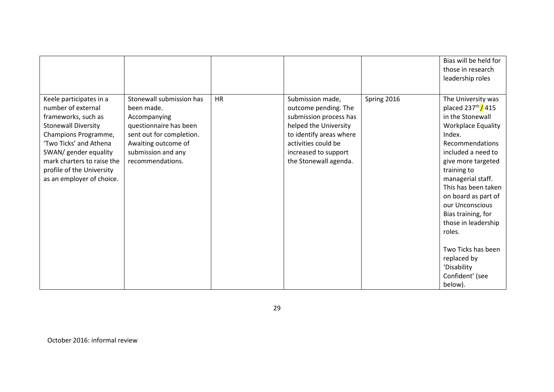|                                                                                                                                                                                                                                                                       |                                                                                                                                                                               |    |                                                                                                                                                                                                |             | Bias will be held for<br>those in research<br>leadership roles                                                                                                                                                                                                                                                                                                                  |
|-----------------------------------------------------------------------------------------------------------------------------------------------------------------------------------------------------------------------------------------------------------------------|-------------------------------------------------------------------------------------------------------------------------------------------------------------------------------|----|------------------------------------------------------------------------------------------------------------------------------------------------------------------------------------------------|-------------|---------------------------------------------------------------------------------------------------------------------------------------------------------------------------------------------------------------------------------------------------------------------------------------------------------------------------------------------------------------------------------|
| Keele participates in a<br>number of external<br>frameworks, such as<br><b>Stonewall Diversity</b><br>Champions Programme,<br>'Two Ticks' and Athena<br>SWAN/ gender equality<br>mark charters to raise the<br>profile of the University<br>as an employer of choice. | Stonewall submission has<br>been made.<br>Accompanying<br>questionnaire has been<br>sent out for completion.<br>Awaiting outcome of<br>submission and any<br>recommendations. | HR | Submission made,<br>outcome pending. The<br>submission process has<br>helped the University<br>to identify areas where<br>activities could be<br>increased to support<br>the Stonewall agenda. | Spring 2016 | The University was<br>placed $237^{\text{th}}$ / 415<br>in the Stonewall<br><b>Workplace Equality</b><br>Index.<br>Recommendations<br>included a need to<br>give more targeted<br>training to<br>managerial staff.<br>This has been taken<br>on board as part of<br>our Unconscious<br>Bias training, for<br>those in leadership<br>roles.<br>Two Ticks has been<br>replaced by |
|                                                                                                                                                                                                                                                                       |                                                                                                                                                                               |    |                                                                                                                                                                                                |             | 'Disability<br>Confident' (see<br>below).                                                                                                                                                                                                                                                                                                                                       |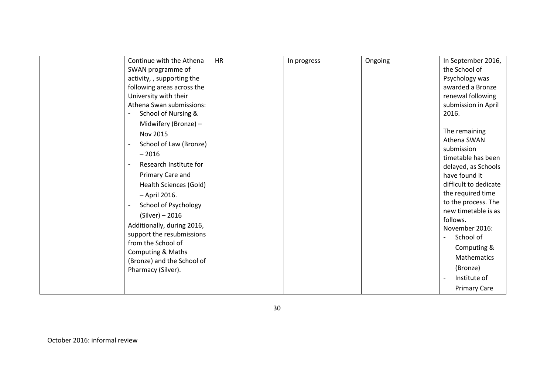| Continue with the Athena                        | <b>HR</b> | In progress | Ongoing | In September 2016,         |
|-------------------------------------------------|-----------|-------------|---------|----------------------------|
| SWAN programme of                               |           |             |         | the School of              |
| activity, , supporting the                      |           |             |         | Psychology was             |
| following areas across the                      |           |             |         | awarded a Bronze           |
| University with their                           |           |             |         | renewal following          |
| Athena Swan submissions:                        |           |             |         | submission in April        |
| School of Nursing &<br>$\overline{\phantom{a}}$ |           |             |         | 2016.                      |
| Midwifery (Bronze) -                            |           |             |         |                            |
| Nov 2015                                        |           |             |         | The remaining              |
| School of Law (Bronze)                          |           |             |         | Athena SWAN                |
| $-2016$                                         |           |             |         | submission                 |
| Research Institute for                          |           |             |         | timetable has been         |
|                                                 |           |             |         | delayed, as Schools        |
| Primary Care and                                |           |             |         | have found it              |
| Health Sciences (Gold)                          |           |             |         | difficult to dedicate      |
| - April 2016.                                   |           |             |         | the required time          |
| School of Psychology                            |           |             |         | to the process. The        |
| $(Silver) - 2016$                               |           |             |         | new timetable is as        |
| Additionally, during 2016,                      |           |             |         | follows.<br>November 2016: |
| support the resubmissions                       |           |             |         | School of                  |
| from the School of                              |           |             |         |                            |
| <b>Computing &amp; Maths</b>                    |           |             |         | Computing &                |
| (Bronze) and the School of                      |           |             |         | Mathematics                |
| Pharmacy (Silver).                              |           |             |         | (Bronze)                   |
|                                                 |           |             |         | Institute of               |
|                                                 |           |             |         | <b>Primary Care</b>        |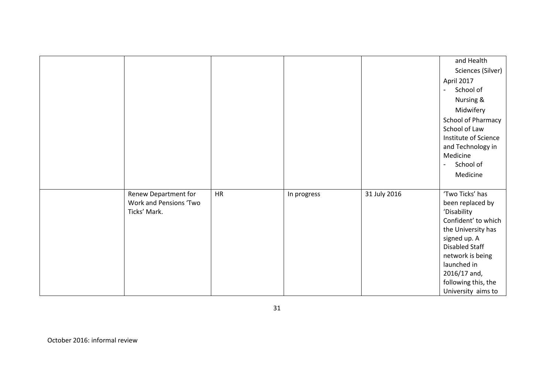|                        |           |             |              | and Health                |
|------------------------|-----------|-------------|--------------|---------------------------|
|                        |           |             |              |                           |
|                        |           |             |              | Sciences (Silver)         |
|                        |           |             |              | April 2017                |
|                        |           |             |              | School of                 |
|                        |           |             |              | Nursing &                 |
|                        |           |             |              | Midwifery                 |
|                        |           |             |              | <b>School of Pharmacy</b> |
|                        |           |             |              | School of Law             |
|                        |           |             |              | Institute of Science      |
|                        |           |             |              | and Technology in         |
|                        |           |             |              | Medicine                  |
|                        |           |             |              | School of                 |
|                        |           |             |              | Medicine                  |
|                        |           |             |              |                           |
| Renew Department for   | <b>HR</b> | In progress | 31 July 2016 | 'Two Ticks' has           |
| Work and Pensions 'Two |           |             |              | been replaced by          |
| Ticks' Mark.           |           |             |              | 'Disability               |
|                        |           |             |              | Confident' to which       |
|                        |           |             |              | the University has        |
|                        |           |             |              | signed up. A              |
|                        |           |             |              | <b>Disabled Staff</b>     |
|                        |           |             |              | network is being          |
|                        |           |             |              | launched in               |
|                        |           |             |              | 2016/17 and,              |
|                        |           |             |              | following this, the       |
|                        |           |             |              | University aims to        |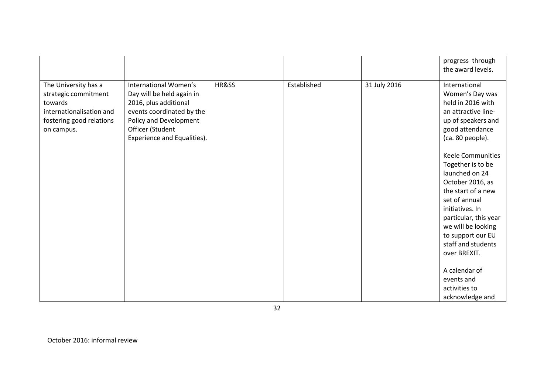|                                                                                                                               |                                                                                                                                                                                       |       |             |              | progress through<br>the award levels.                                                                                                                                                                                                                                                                                                                          |
|-------------------------------------------------------------------------------------------------------------------------------|---------------------------------------------------------------------------------------------------------------------------------------------------------------------------------------|-------|-------------|--------------|----------------------------------------------------------------------------------------------------------------------------------------------------------------------------------------------------------------------------------------------------------------------------------------------------------------------------------------------------------------|
| The University has a<br>strategic commitment<br>towards<br>internationalisation and<br>fostering good relations<br>on campus. | International Women's<br>Day will be held again in<br>2016, plus additional<br>events coordinated by the<br>Policy and Development<br>Officer (Student<br>Experience and Equalities). | HR&SS | Established | 31 July 2016 | International<br>Women's Day was<br>held in 2016 with<br>an attractive line-<br>up of speakers and<br>good attendance<br>(ca. 80 people).<br><b>Keele Communities</b><br>Together is to be<br>launched on 24<br>October 2016, as<br>the start of a new<br>set of annual<br>initiatives. In<br>particular, this year<br>we will be looking<br>to support our EU |
|                                                                                                                               |                                                                                                                                                                                       |       |             |              | staff and students<br>over BREXIT.                                                                                                                                                                                                                                                                                                                             |
|                                                                                                                               |                                                                                                                                                                                       |       |             |              | A calendar of<br>events and<br>activities to                                                                                                                                                                                                                                                                                                                   |
|                                                                                                                               |                                                                                                                                                                                       |       |             |              | acknowledge and                                                                                                                                                                                                                                                                                                                                                |